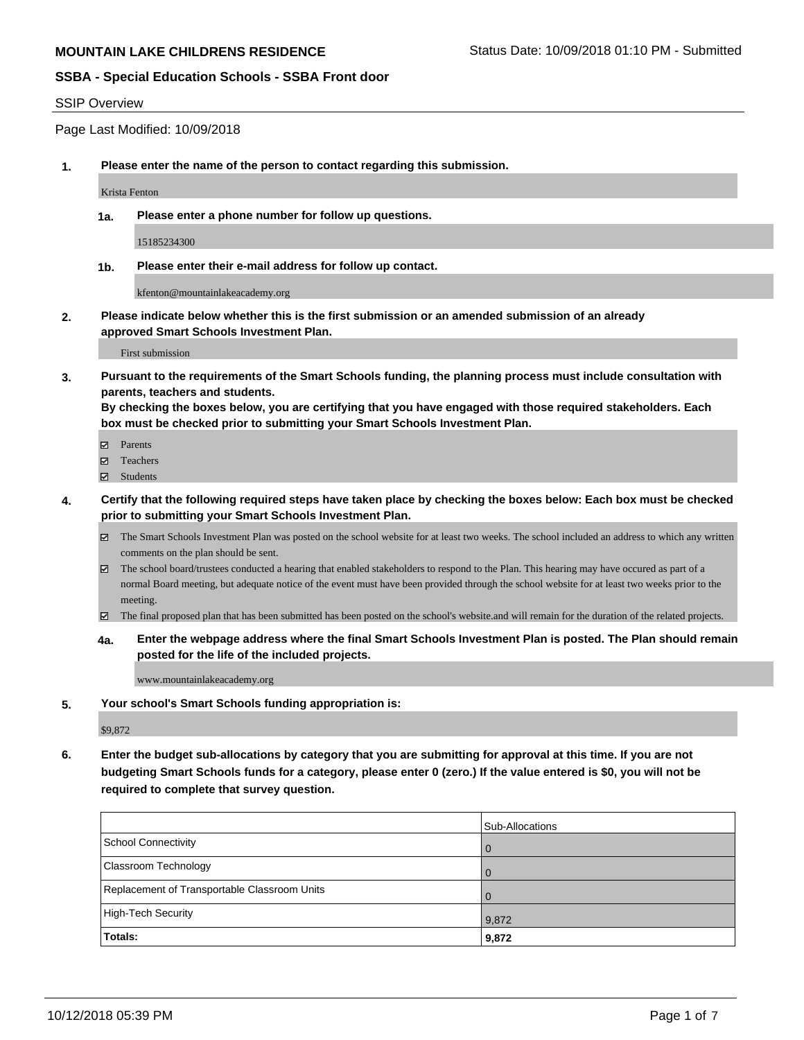#### SSIP Overview

Page Last Modified: 10/09/2018

**1. Please enter the name of the person to contact regarding this submission.**

Krista Fenton

**1a. Please enter a phone number for follow up questions.**

15185234300

**1b. Please enter their e-mail address for follow up contact.**

kfenton@mountainlakeacademy.org

**2. Please indicate below whether this is the first submission or an amended submission of an already approved Smart Schools Investment Plan.**

First submission

**3. Pursuant to the requirements of the Smart Schools funding, the planning process must include consultation with parents, teachers and students.**

**By checking the boxes below, you are certifying that you have engaged with those required stakeholders. Each box must be checked prior to submitting your Smart Schools Investment Plan.**

- $\blacksquare$  Parents
- Teachers
- Students
- **4. Certify that the following required steps have taken place by checking the boxes below: Each box must be checked prior to submitting your Smart Schools Investment Plan.**
	- $\boxtimes$  The Smart Schools Investment Plan was posted on the school website for at least two weeks. The school included an address to which any written comments on the plan should be sent.
	- $\boxtimes$  The school board/trustees conducted a hearing that enabled stakeholders to respond to the Plan. This hearing may have occured as part of a normal Board meeting, but adequate notice of the event must have been provided through the school website for at least two weeks prior to the meeting.
	- The final proposed plan that has been submitted has been posted on the school's website.and will remain for the duration of the related projects.
	- **4a. Enter the webpage address where the final Smart Schools Investment Plan is posted. The Plan should remain posted for the life of the included projects.**

www.mountainlakeacademy.org

**5. Your school's Smart Schools funding appropriation is:**

\$9,872

**6. Enter the budget sub-allocations by category that you are submitting for approval at this time. If you are not budgeting Smart Schools funds for a category, please enter 0 (zero.) If the value entered is \$0, you will not be required to complete that survey question.**

|                                              | Sub-Allocations |
|----------------------------------------------|-----------------|
| School Connectivity                          |                 |
| Classroom Technology                         |                 |
| Replacement of Transportable Classroom Units |                 |
| High-Tech Security                           | 9,872           |
| Totals:                                      | 9,872           |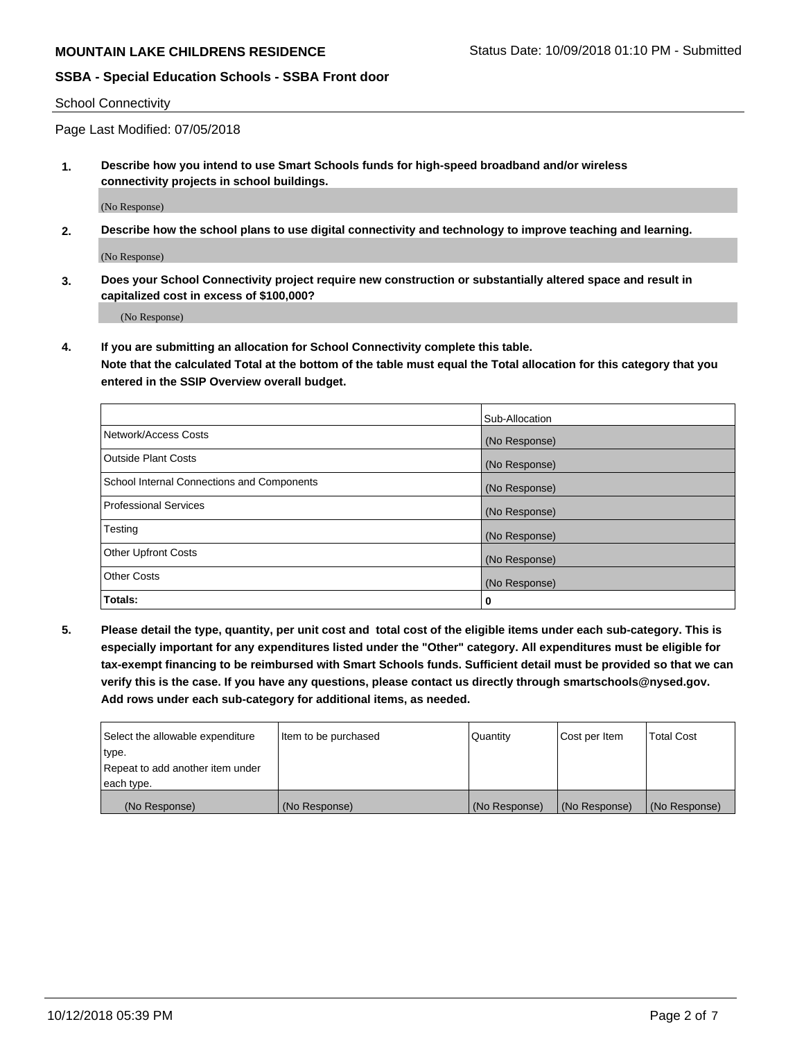School Connectivity

Page Last Modified: 07/05/2018

**1. Describe how you intend to use Smart Schools funds for high-speed broadband and/or wireless connectivity projects in school buildings.**

(No Response)

**2. Describe how the school plans to use digital connectivity and technology to improve teaching and learning.**

(No Response)

**3. Does your School Connectivity project require new construction or substantially altered space and result in capitalized cost in excess of \$100,000?**

(No Response)

**4. If you are submitting an allocation for School Connectivity complete this table.**

**Note that the calculated Total at the bottom of the table must equal the Total allocation for this category that you entered in the SSIP Overview overall budget.** 

|                                            | Sub-Allocation |
|--------------------------------------------|----------------|
| Network/Access Costs                       | (No Response)  |
| <b>Outside Plant Costs</b>                 | (No Response)  |
| School Internal Connections and Components | (No Response)  |
| <b>Professional Services</b>               | (No Response)  |
| Testing                                    | (No Response)  |
| <b>Other Upfront Costs</b>                 | (No Response)  |
| <b>Other Costs</b>                         | (No Response)  |
| Totals:                                    | 0              |

**5. Please detail the type, quantity, per unit cost and total cost of the eligible items under each sub-category. This is especially important for any expenditures listed under the "Other" category. All expenditures must be eligible for tax-exempt financing to be reimbursed with Smart Schools funds. Sufficient detail must be provided so that we can verify this is the case. If you have any questions, please contact us directly through smartschools@nysed.gov. Add rows under each sub-category for additional items, as needed.**

| Select the allowable expenditure | Item to be purchased | Quantity      | Cost per Item | Total Cost    |
|----------------------------------|----------------------|---------------|---------------|---------------|
| type.                            |                      |               |               |               |
| Repeat to add another item under |                      |               |               |               |
| each type.                       |                      |               |               |               |
| (No Response)                    | (No Response)        | (No Response) | (No Response) | (No Response) |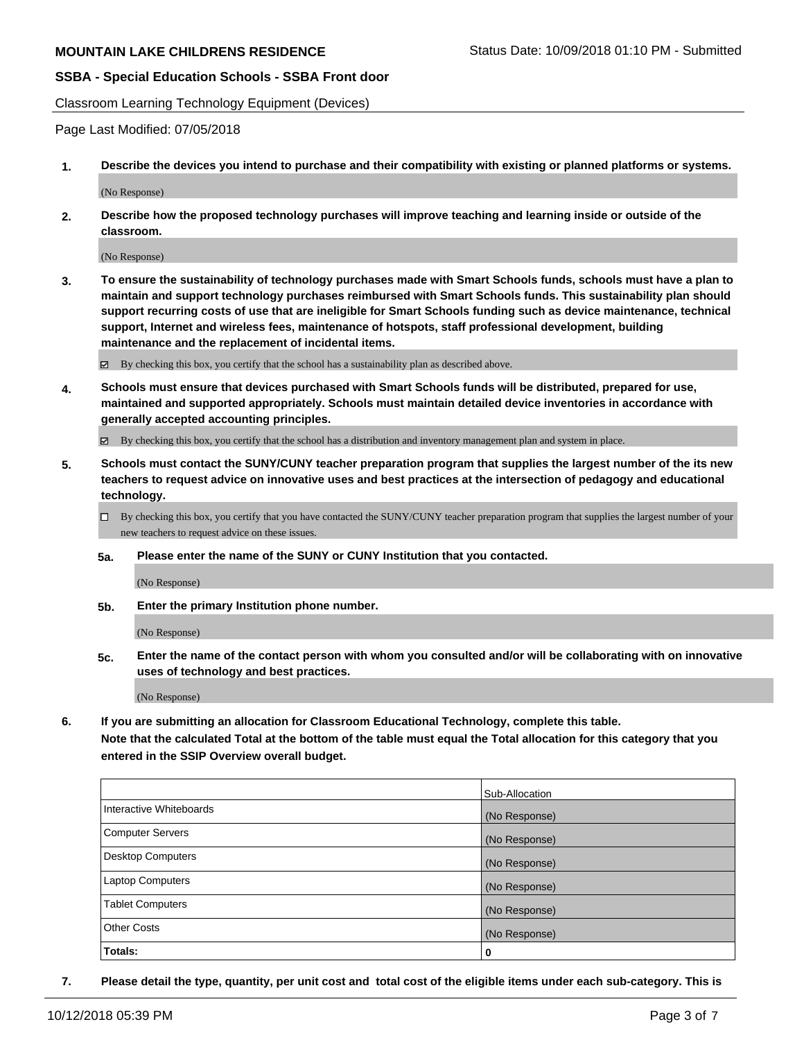Classroom Learning Technology Equipment (Devices)

Page Last Modified: 07/05/2018

**1. Describe the devices you intend to purchase and their compatibility with existing or planned platforms or systems.**

(No Response)

**2. Describe how the proposed technology purchases will improve teaching and learning inside or outside of the classroom.**

(No Response)

**3. To ensure the sustainability of technology purchases made with Smart Schools funds, schools must have a plan to maintain and support technology purchases reimbursed with Smart Schools funds. This sustainability plan should support recurring costs of use that are ineligible for Smart Schools funding such as device maintenance, technical support, Internet and wireless fees, maintenance of hotspots, staff professional development, building maintenance and the replacement of incidental items.**

By checking this box, you certify that the school has a sustainability plan as described above.

**4. Schools must ensure that devices purchased with Smart Schools funds will be distributed, prepared for use, maintained and supported appropriately. Schools must maintain detailed device inventories in accordance with generally accepted accounting principles.**

By checking this box, you certify that the school has a distribution and inventory management plan and system in place.

- **5. Schools must contact the SUNY/CUNY teacher preparation program that supplies the largest number of the its new teachers to request advice on innovative uses and best practices at the intersection of pedagogy and educational technology.**
	- $\Box$  By checking this box, you certify that you have contacted the SUNY/CUNY teacher preparation program that supplies the largest number of your new teachers to request advice on these issues.
	- **5a. Please enter the name of the SUNY or CUNY Institution that you contacted.**

(No Response)

**5b. Enter the primary Institution phone number.**

(No Response)

**5c. Enter the name of the contact person with whom you consulted and/or will be collaborating with on innovative uses of technology and best practices.**

(No Response)

**6. If you are submitting an allocation for Classroom Educational Technology, complete this table.**

**Note that the calculated Total at the bottom of the table must equal the Total allocation for this category that you entered in the SSIP Overview overall budget.**

|                         | Sub-Allocation |
|-------------------------|----------------|
| Interactive Whiteboards | (No Response)  |
| Computer Servers        | (No Response)  |
| Desktop Computers       | (No Response)  |
| Laptop Computers        | (No Response)  |
| <b>Tablet Computers</b> | (No Response)  |
| <b>Other Costs</b>      | (No Response)  |
| Totals:                 | 0              |

**7. Please detail the type, quantity, per unit cost and total cost of the eligible items under each sub-category. This is**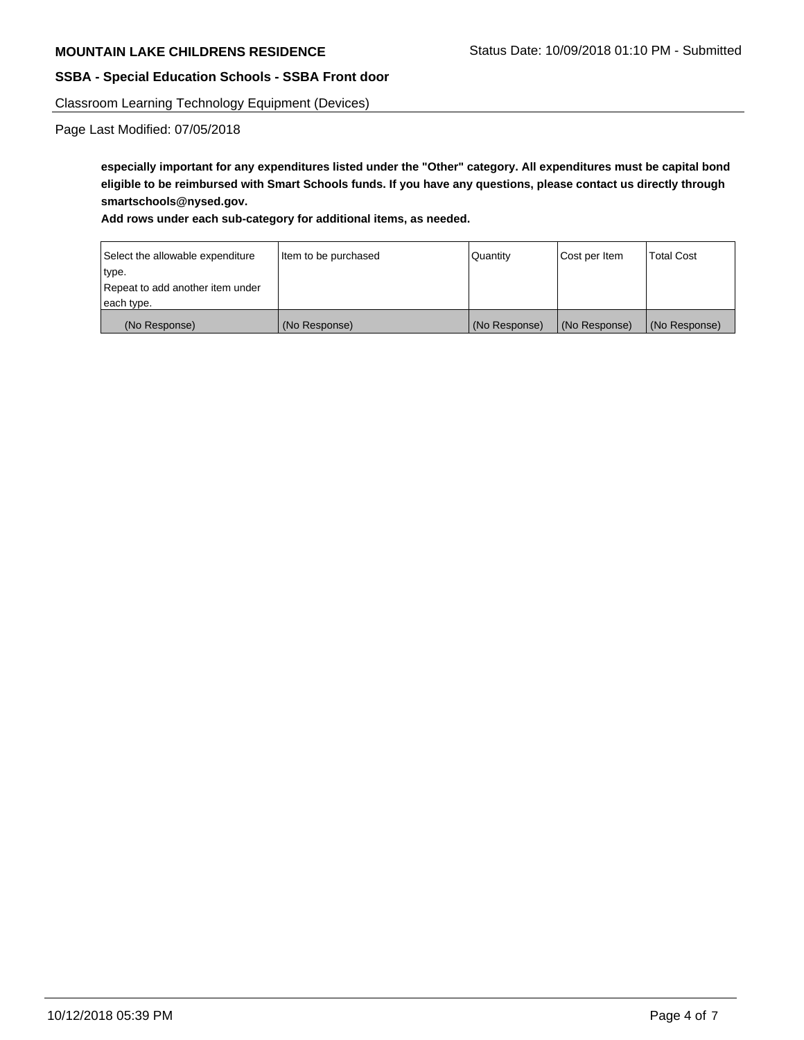Classroom Learning Technology Equipment (Devices)

Page Last Modified: 07/05/2018

**especially important for any expenditures listed under the "Other" category. All expenditures must be capital bond eligible to be reimbursed with Smart Schools funds. If you have any questions, please contact us directly through smartschools@nysed.gov.**

#### **Add rows under each sub-category for additional items, as needed.**

| Select the allowable expenditure | Item to be purchased | Quantity      | Cost per Item | <b>Total Cost</b> |
|----------------------------------|----------------------|---------------|---------------|-------------------|
| type.                            |                      |               |               |                   |
| Repeat to add another item under |                      |               |               |                   |
| each type.                       |                      |               |               |                   |
| (No Response)                    | (No Response)        | (No Response) | (No Response) | (No Response)     |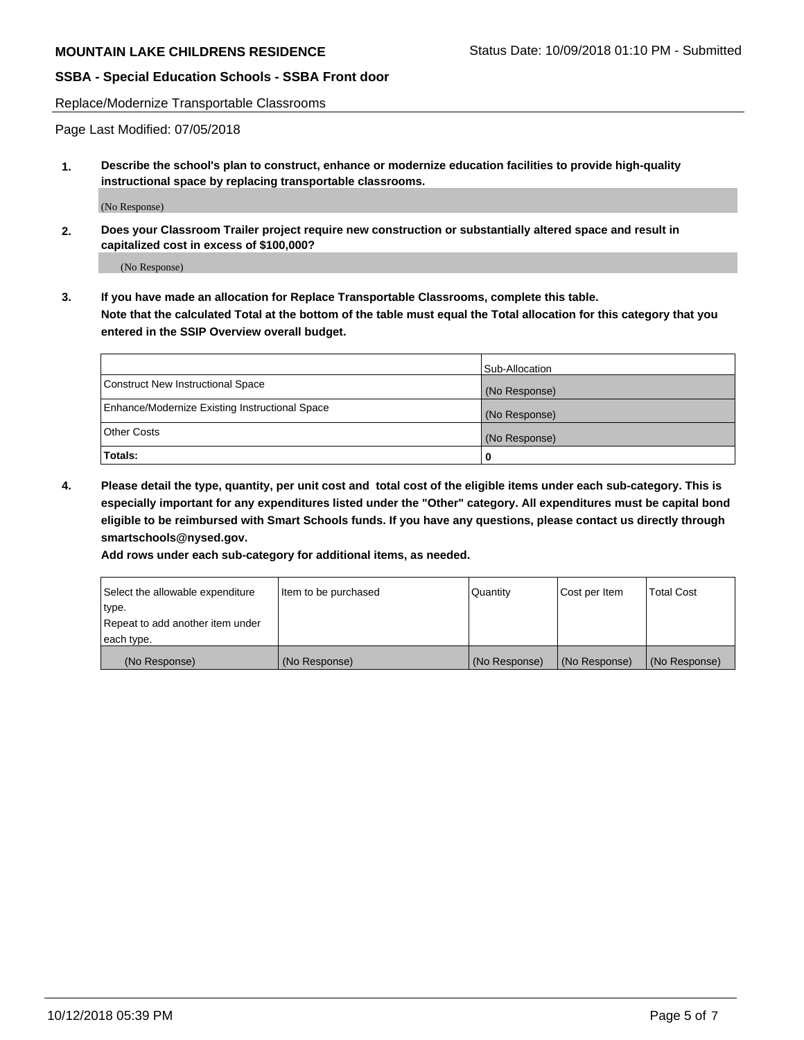Replace/Modernize Transportable Classrooms

Page Last Modified: 07/05/2018

**1. Describe the school's plan to construct, enhance or modernize education facilities to provide high-quality instructional space by replacing transportable classrooms.**

(No Response)

**2. Does your Classroom Trailer project require new construction or substantially altered space and result in capitalized cost in excess of \$100,000?**

(No Response)

**3. If you have made an allocation for Replace Transportable Classrooms, complete this table. Note that the calculated Total at the bottom of the table must equal the Total allocation for this category that you entered in the SSIP Overview overall budget.**

|                                                | Sub-Allocation |
|------------------------------------------------|----------------|
| Construct New Instructional Space              | (No Response)  |
| Enhance/Modernize Existing Instructional Space | (No Response)  |
| Other Costs                                    | (No Response)  |
| Totals:                                        | 0              |

**4. Please detail the type, quantity, per unit cost and total cost of the eligible items under each sub-category. This is especially important for any expenditures listed under the "Other" category. All expenditures must be capital bond eligible to be reimbursed with Smart Schools funds. If you have any questions, please contact us directly through smartschools@nysed.gov.**

**Add rows under each sub-category for additional items, as needed.**

| Select the allowable expenditure | Item to be purchased | Quantity      | Cost per Item | Total Cost    |
|----------------------------------|----------------------|---------------|---------------|---------------|
| type.                            |                      |               |               |               |
| Repeat to add another item under |                      |               |               |               |
| each type.                       |                      |               |               |               |
| (No Response)                    | (No Response)        | (No Response) | (No Response) | (No Response) |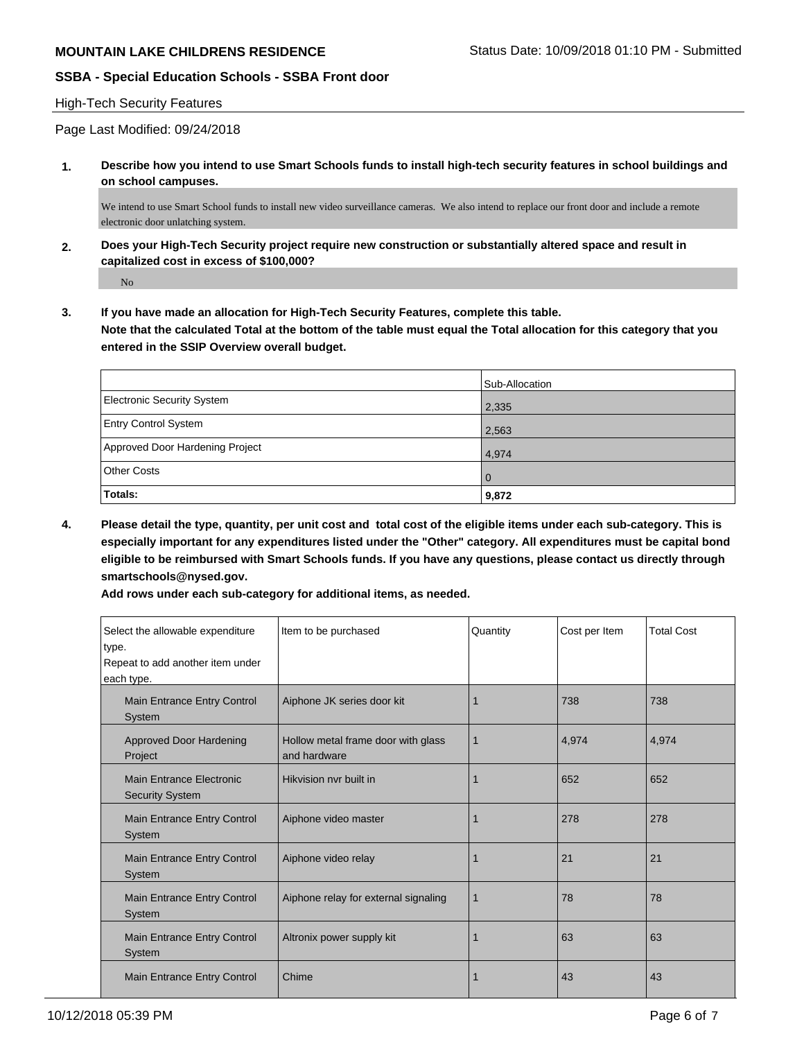#### High-Tech Security Features

Page Last Modified: 09/24/2018

**1. Describe how you intend to use Smart Schools funds to install high-tech security features in school buildings and on school campuses.**

We intend to use Smart School funds to install new video surveillance cameras. We also intend to replace our front door and include a remote electronic door unlatching system.

**2. Does your High-Tech Security project require new construction or substantially altered space and result in capitalized cost in excess of \$100,000?**

No

**3. If you have made an allocation for High-Tech Security Features, complete this table. Note that the calculated Total at the bottom of the table must equal the Total allocation for this category that you entered in the SSIP Overview overall budget.**

|                                   | Sub-Allocation |
|-----------------------------------|----------------|
| <b>Electronic Security System</b> | 2,335          |
| <b>Entry Control System</b>       | 2,563          |
| Approved Door Hardening Project   | 4,974          |
| <b>Other Costs</b>                | $\overline{0}$ |
| Totals:                           | 9,872          |

**4. Please detail the type, quantity, per unit cost and total cost of the eligible items under each sub-category. This is especially important for any expenditures listed under the "Other" category. All expenditures must be capital bond eligible to be reimbursed with Smart Schools funds. If you have any questions, please contact us directly through smartschools@nysed.gov.**

**Add rows under each sub-category for additional items, as needed.**

| Select the allowable expenditure<br>type.<br>Repeat to add another item under<br>each type. | Item to be purchased                               | Quantity | Cost per Item | <b>Total Cost</b> |
|---------------------------------------------------------------------------------------------|----------------------------------------------------|----------|---------------|-------------------|
| Main Entrance Entry Control<br><b>System</b>                                                | Aiphone JK series door kit                         |          | 738           | 738               |
| Approved Door Hardening<br>Project                                                          | Hollow metal frame door with glass<br>and hardware | 1        | 4,974         | 4,974             |
| <b>Main Entrance Electronic</b><br><b>Security System</b>                                   | Hikvision nyr built in                             |          | 652           | 652               |
| Main Entrance Entry Control<br><b>System</b>                                                | Aiphone video master                               |          | 278           | 278               |
| Main Entrance Entry Control<br>System                                                       | Aiphone video relay                                | 1        | 21            | 21                |
| Main Entrance Entry Control<br><b>System</b>                                                | Aiphone relay for external signaling               | 1        | 78            | 78                |
| Main Entrance Entry Control<br><b>System</b>                                                | Altronix power supply kit                          |          | 63            | 63                |
| <b>Main Entrance Entry Control</b>                                                          | Chime                                              |          | 43            | 43                |